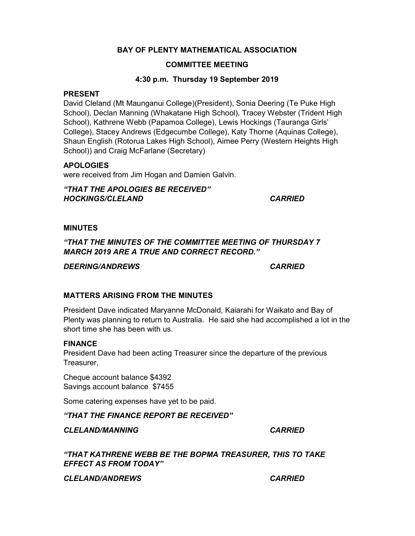## BAY OF PLENTY MATHEMATICAL ASSOCIATION

### COMMITTEE MEETING

### 4:30 p.m. Thursday 19 September 2019

### PRESENT

David Cleland (Mt Maunganui College)(President), Sonia Deering (Te Puke High School), Declan Manning (Whakatane High School), Tracey Webster (Trident High School), Kathrene Webb (Papamoa College), Lewis Hockings (Tauranga Girls' College), Stacey Andrews (Edgecumbe College), Katy Thorne (Aquinas College), Shaun English (Rotorua Lakes High School), Aimee Perry (Western Heights High School)) and Craig McFarlane (Secretary)

## APOLOGIES

were received from Jim Hogan and Damien Galvin.

"THAT THE APOLOGIES BE RECEIVED" HOCKINGS/CLELAND CARRIED

### MINUTES

"THAT THE MINUTES OF THE COMMITTEE MEETING OF THURSDAY 7 MARCH 2019 ARE A TRUE AND CORRECT RECORD."

DEERING/ANDREWS CARRIED

## MATTERS ARISING FROM THE MINUTES

President Dave indicated Maryanne McDonald, Kaiarahi for Waikato and Bay of Plenty was planning to return to Australia. He said she had accomplished a lot in the short time she has been with us.

## **FINANCE**

President Dave had been acting Treasurer since the departure of the previous Treasurer,

Cheque account balance \$4392 Savings account balance \$7455

Some catering expenses have yet to be paid.

"THAT THE FINANCE REPORT BE RECEIVED"

CLELAND/MANNING CARRIED

"THAT KATHRENE WEBB BE THE BOPMA TREASURER, THIS TO TAKE EFFECT AS FROM TODAY"

CLELAND/ANDREWS CARRIED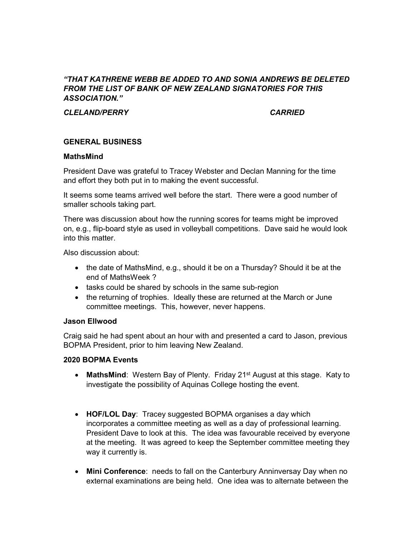## "THAT KATHRENE WEBB BE ADDED TO AND SONIA ANDREWS BE DELETED FROM THE LIST OF BANK OF NEW ZEALAND SIGNATORIES FOR THIS ASSOCIATION."

### CLELAND/PERRY CARRIED

### GENERAL BUSINESS

### MathsMind

President Dave was grateful to Tracey Webster and Declan Manning for the time and effort they both put in to making the event successful.

It seems some teams arrived well before the start. There were a good number of smaller schools taking part.

There was discussion about how the running scores for teams might be improved on, e.g., flip-board style as used in volleyball competitions. Dave said he would look into this matter.

Also discussion about:

- the date of MathsMind, e.g., should it be on a Thursday? Should it be at the end of MathsWeek ?
- tasks could be shared by schools in the same sub-region
- the returning of trophies. Ideally these are returned at the March or June committee meetings. This, however, never happens.

### Jason Ellwood

Craig said he had spent about an hour with and presented a card to Jason, previous BOPMA President, prior to him leaving New Zealand.

### 2020 BOPMA Events

- MathsMind: Western Bay of Plenty. Friday 21<sup>st</sup> August at this stage. Katy to investigate the possibility of Aquinas College hosting the event.
- HOF/LOL Day: Tracey suggested BOPMA organises a day which incorporates a committee meeting as well as a day of professional learning. President Dave to look at this. The idea was favourable received by everyone at the meeting. It was agreed to keep the September committee meeting they way it currently is.
- Mini Conference: needs to fall on the Canterbury Anninversay Day when no external examinations are being held. One idea was to alternate between the